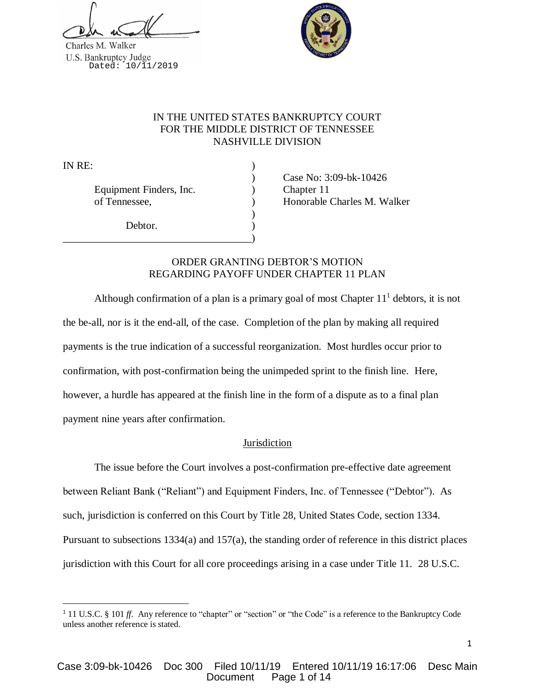



# IN THE UNITED STATES BANKRUPTCY COURT FOR THE MIDDLE DISTRICT OF TENNESSEE NASHVILLE DIVISION

IN RE: )

 $\overline{\phantom{a}}$ 

Equipment Finders, Inc. (a) Chapter 11

Debtor.

\_\_\_\_\_\_\_\_\_\_\_\_\_\_\_\_\_\_\_\_\_\_\_\_\_\_\_\_\_\_\_\_\_\_\_\_)

) Case No: 3:09-bk-10426 of Tennessee,  $\blacksquare$  ) Honorable Charles M. Walker

# ORDER GRANTING DEBTOR'S MOTION REGARDING PAYOFF UNDER CHAPTER 11 PLAN

)

Although confirmation of a plan is a primary goal of most Chapter  $11<sup>1</sup>$  debtors, it is not the be-all, nor is it the end-all, of the case. Completion of the plan by making all required payments is the true indication of a successful reorganization. Most hurdles occur prior to confirmation, with post-confirmation being the unimpeded sprint to the finish line. Here, however, a hurdle has appeared at the finish line in the form of a dispute as to a final plan payment nine years after confirmation.

# **Jurisdiction**

The issue before the Court involves a post-confirmation pre-effective date agreement between Reliant Bank ("Reliant") and Equipment Finders, Inc. of Tennessee ("Debtor"). As such, jurisdiction is conferred on this Court by Title 28, United States Code, section 1334. Pursuant to subsections 1334(a) and 157(a), the standing order of reference in this district places jurisdiction with this Court for all core proceedings arising in a case under Title 11. 28 U.S.C.

<sup>&</sup>lt;sup>1</sup> 11 U.S.C. § 101 *ff*. Any reference to "chapter" or "section" or "the Code" is a reference to the Bankruptcy Code unless another reference is stated.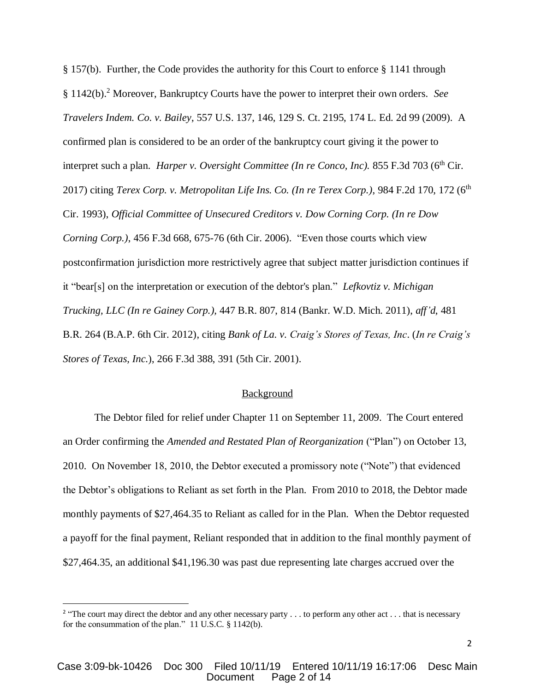§ 157(b). Further, the Code provides the authority for this Court to enforce § 1141 through § 1142(b). <sup>2</sup> Moreover, Bankruptcy Courts have the power to interpret their own orders. *See Travelers Indem. Co. v. Bailey*, 557 U.S. 137, 146, 129 S. Ct. 2195, 174 L. Ed. 2d 99 (2009). A confirmed plan is considered to be an order of the bankruptcy court giving it the power to interpret such a plan. *Harper v. Oversight Committee (In re Conco, Inc)*. 855 F.3d 703 (6<sup>th</sup> Cir. 2017) citing *Terex Corp. v. Metropolitan Life Ins. Co. (In re Terex Corp.)*, 984 F.2d 170, 172 (6<sup>th</sup> Cir. 1993), *Official Committee of Unsecured Creditors v. Dow Corning Corp. (In re Dow Corning Corp.)*, 456 F.3d 668, 675-76 (6th Cir. 2006). "Even those courts which view postconfirmation jurisdiction more restrictively agree that subject matter jurisdiction continues if it "bear[s] on the interpretation or execution of the debtor's plan." *Lefkovtiz v. Michigan Trucking, LLC (In re Gainey Corp.),* 447 B.R. 807, 814 (Bankr. W.D. Mich. 2011), *aff'd*, 481 B.R. 264 (B.A.P. 6th Cir. 2012), citing *Bank of La. v. Craig's Stores of Texas, Inc*. (*In re Craig's Stores of Texas, Inc.*), 266 F.3d 388, 391 (5th Cir. 2001).

## Background

The Debtor filed for relief under Chapter 11 on September 11, 2009. The Court entered an Order confirming the *Amended and Restated Plan of Reorganization* ("Plan") on October 13, 2010. On November 18, 2010, the Debtor executed a promissory note ("Note") that evidenced the Debtor's obligations to Reliant as set forth in the Plan. From 2010 to 2018, the Debtor made monthly payments of \$27,464.35 to Reliant as called for in the Plan. When the Debtor requested a payoff for the final payment, Reliant responded that in addition to the final monthly payment of \$27,464.35, an additional \$41,196.30 was past due representing late charges accrued over the

 $\overline{\phantom{a}}$ 

<sup>&</sup>lt;sup>2</sup> "The court may direct the debtor and any other necessary party  $\dots$  to perform any other act  $\dots$  that is necessary for the consummation of the plan." 11 U.S.C. § 1142(b).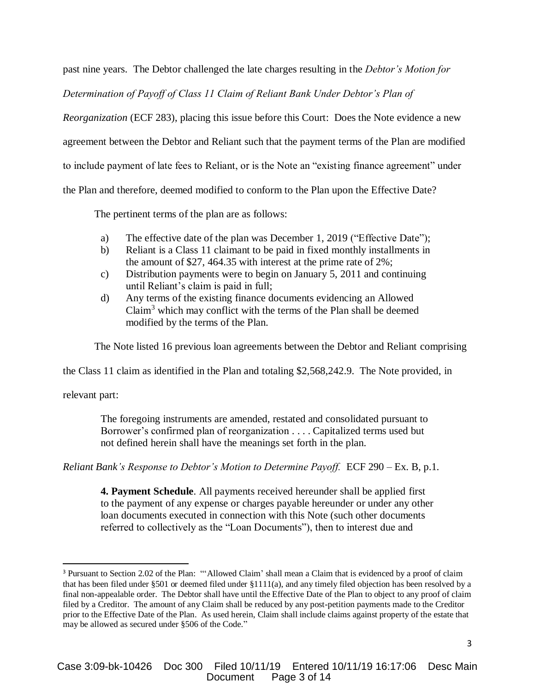past nine years. The Debtor challenged the late charges resulting in the *Debtor's Motion for* 

*Determination of Payoff of Class 11 Claim of Reliant Bank Under Debtor's Plan of* 

*Reorganization* (ECF 283), placing this issue before this Court: Does the Note evidence a new

agreement between the Debtor and Reliant such that the payment terms of the Plan are modified

to include payment of late fees to Reliant, or is the Note an "existing finance agreement" under

the Plan and therefore, deemed modified to conform to the Plan upon the Effective Date?

The pertinent terms of the plan are as follows:

- a) The effective date of the plan was December 1, 2019 ("Effective Date");
- b) Reliant is a Class 11 claimant to be paid in fixed monthly installments in the amount of \$27, 464.35 with interest at the prime rate of 2%;
- c) Distribution payments were to begin on January 5, 2011 and continuing until Reliant's claim is paid in full;
- d) Any terms of the existing finance documents evidencing an Allowed Claim<sup>3</sup> which may conflict with the terms of the Plan shall be deemed modified by the terms of the Plan.

The Note listed 16 previous loan agreements between the Debtor and Reliant comprising

the Class 11 claim as identified in the Plan and totaling \$2,568,242.9. The Note provided, in

relevant part:

 $\overline{\phantom{a}}$ 

The foregoing instruments are amended, restated and consolidated pursuant to Borrower's confirmed plan of reorganization . . . . Capitalized terms used but not defined herein shall have the meanings set forth in the plan.

*Reliant Bank's Response to Debtor's Motion to Determine Payoff.* ECF 290 – Ex. B, p.1.

**4. Payment Schedule**. All payments received hereunder shall be applied first to the payment of any expense or charges payable hereunder or under any other loan documents executed in connection with this Note (such other documents referred to collectively as the "Loan Documents"), then to interest due and

<sup>&</sup>lt;sup>3</sup> Pursuant to Section 2.02 of the Plan: ""Allowed Claim' shall mean a Claim that is evidenced by a proof of claim that has been filed under §501 or deemed filed under §1111(a), and any timely filed objection has been resolved by a final non-appealable order. The Debtor shall have until the Effective Date of the Plan to object to any proof of claim filed by a Creditor. The amount of any Claim shall be reduced by any post-petition payments made to the Creditor prior to the Effective Date of the Plan. As used herein, Claim shall include claims against property of the estate that may be allowed as secured under §506 of the Code."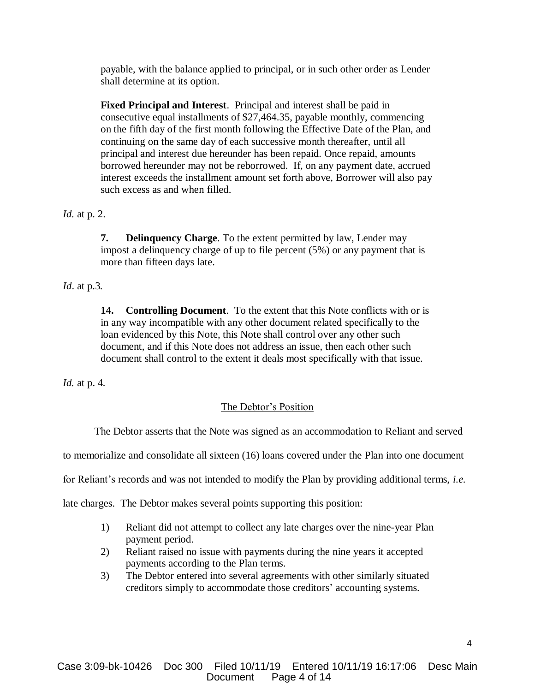payable, with the balance applied to principal, or in such other order as Lender shall determine at its option.

**Fixed Principal and Interest**. Principal and interest shall be paid in consecutive equal installments of \$27,464.35, payable monthly, commencing on the fifth day of the first month following the Effective Date of the Plan, and continuing on the same day of each successive month thereafter, until all principal and interest due hereunder has been repaid. Once repaid, amounts borrowed hereunder may not be reborrowed. If, on any payment date, accrued interest exceeds the installment amount set forth above, Borrower will also pay such excess as and when filled.

*Id.* at p. 2.

**7. Delinquency Charge**. To the extent permitted by law, Lender may impost a delinquency charge of up to file percent (5%) or any payment that is more than fifteen days late.

*Id*. at p.3*.*

**14. Controlling Document**. To the extent that this Note conflicts with or is in any way incompatible with any other document related specifically to the loan evidenced by this Note, this Note shall control over any other such document, and if this Note does not address an issue, then each other such document shall control to the extent it deals most specifically with that issue.

*Id.* at p. 4*.*

# The Debtor's Position

The Debtor asserts that the Note was signed as an accommodation to Reliant and served

to memorialize and consolidate all sixteen (16) loans covered under the Plan into one document

for Reliant's records and was not intended to modify the Plan by providing additional terms, *i.e.*

late charges. The Debtor makes several points supporting this position:

- 1) Reliant did not attempt to collect any late charges over the nine-year Plan payment period.
- 2) Reliant raised no issue with payments during the nine years it accepted payments according to the Plan terms.
- 3) The Debtor entered into several agreements with other similarly situated creditors simply to accommodate those creditors' accounting systems.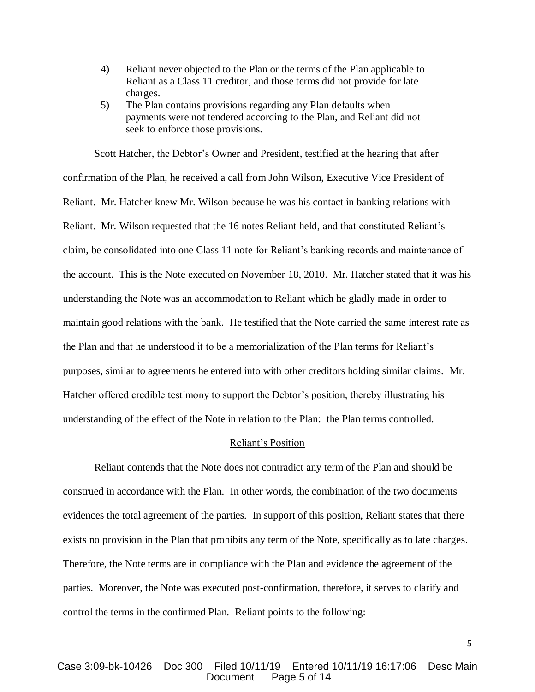- 4) Reliant never objected to the Plan or the terms of the Plan applicable to Reliant as a Class 11 creditor, and those terms did not provide for late charges.
- 5) The Plan contains provisions regarding any Plan defaults when payments were not tendered according to the Plan, and Reliant did not seek to enforce those provisions.

Scott Hatcher, the Debtor's Owner and President, testified at the hearing that after confirmation of the Plan, he received a call from John Wilson, Executive Vice President of Reliant. Mr. Hatcher knew Mr. Wilson because he was his contact in banking relations with Reliant. Mr. Wilson requested that the 16 notes Reliant held, and that constituted Reliant's claim, be consolidated into one Class 11 note for Reliant's banking records and maintenance of the account. This is the Note executed on November 18, 2010. Mr. Hatcher stated that it was his understanding the Note was an accommodation to Reliant which he gladly made in order to maintain good relations with the bank. He testified that the Note carried the same interest rate as the Plan and that he understood it to be a memorialization of the Plan terms for Reliant's purposes, similar to agreements he entered into with other creditors holding similar claims. Mr. Hatcher offered credible testimony to support the Debtor's position, thereby illustrating his understanding of the effect of the Note in relation to the Plan: the Plan terms controlled.

## Reliant's Position

Reliant contends that the Note does not contradict any term of the Plan and should be construed in accordance with the Plan. In other words, the combination of the two documents evidences the total agreement of the parties. In support of this position, Reliant states that there exists no provision in the Plan that prohibits any term of the Note, specifically as to late charges. Therefore, the Note terms are in compliance with the Plan and evidence the agreement of the parties. Moreover, the Note was executed post-confirmation, therefore, it serves to clarify and control the terms in the confirmed Plan. Reliant points to the following: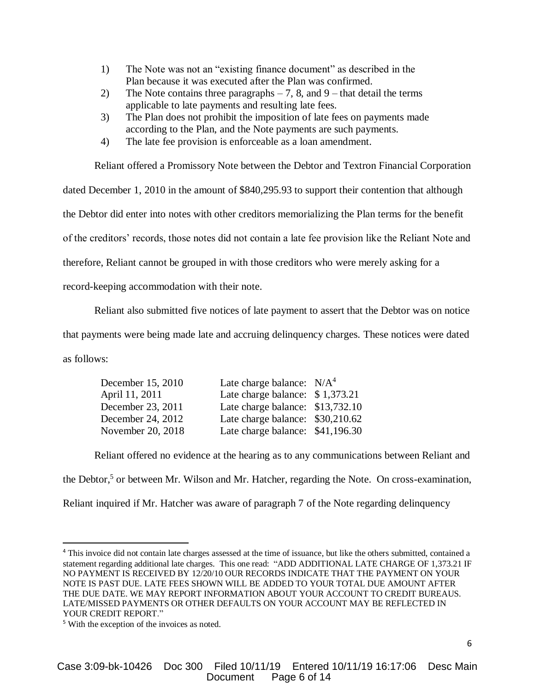- 1) The Note was not an "existing finance document" as described in the Plan because it was executed after the Plan was confirmed.
- 2) The Note contains three paragraphs  $-7$ , 8, and  $9$  that detail the terms applicable to late payments and resulting late fees.
- 3) The Plan does not prohibit the imposition of late fees on payments made according to the Plan, and the Note payments are such payments.
- 4) The late fee provision is enforceable as a loan amendment.

Reliant offered a Promissory Note between the Debtor and Textron Financial Corporation

dated December 1, 2010 in the amount of \$840,295.93 to support their contention that although

the Debtor did enter into notes with other creditors memorializing the Plan terms for the benefit

of the creditors' records, those notes did not contain a late fee provision like the Reliant Note and

therefore, Reliant cannot be grouped in with those creditors who were merely asking for a

record-keeping accommodation with their note.

Reliant also submitted five notices of late payment to assert that the Debtor was on notice

that payments were being made late and accruing delinquency charges. These notices were dated as follows:

| December 15, 2010 | Late charge balance: $N/A4$      |  |
|-------------------|----------------------------------|--|
| April 11, 2011    | Late charge balance: \$1,373.21  |  |
| December 23, 2011 | Late charge balance: \$13,732.10 |  |
| December 24, 2012 | Late charge balance: \$30,210.62 |  |
| November 20, 2018 | Late charge balance: \$41,196.30 |  |

Reliant offered no evidence at the hearing as to any communications between Reliant and

the Debtor,<sup>5</sup> or between Mr. Wilson and Mr. Hatcher, regarding the Note. On cross-examination,

Reliant inquired if Mr. Hatcher was aware of paragraph 7 of the Note regarding delinquency

 $\overline{a}$ 

<sup>4</sup> This invoice did not contain late charges assessed at the time of issuance, but like the others submitted, contained a statement regarding additional late charges. This one read: "ADD ADDITIONAL LATE CHARGE OF 1,373.21 IF NO PAYMENT IS RECEIVED BY 12/20/10 OUR RECORDS INDICATE THAT THE PAYMENT ON YOUR NOTE IS PAST DUE. LATE FEES SHOWN WILL BE ADDED TO YOUR TOTAL DUE AMOUNT AFTER THE DUE DATE. WE MAY REPORT INFORMATION ABOUT YOUR ACCOUNT TO CREDIT BUREAUS. LATE/MISSED PAYMENTS OR OTHER DEFAULTS ON YOUR ACCOUNT MAY BE REFLECTED IN YOUR CREDIT REPORT."

<sup>5</sup> With the exception of the invoices as noted.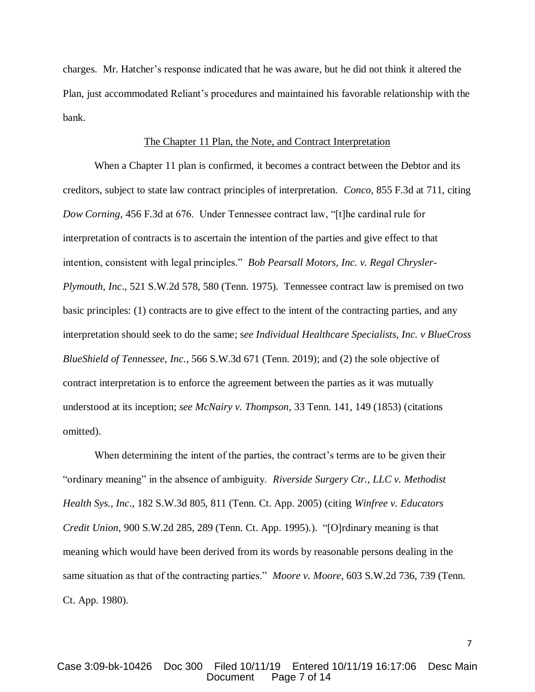charges. Mr. Hatcher's response indicated that he was aware, but he did not think it altered the Plan, just accommodated Reliant's procedures and maintained his favorable relationship with the bank.

### The Chapter 11 Plan, the Note, and Contract Interpretation

When a Chapter 11 plan is confirmed, it becomes a contract between the Debtor and its creditors, subject to state law contract principles of interpretation. *Conco,* 855 F.3d at 711, citing *Dow Corning*, 456 F.3d at 676. Under Tennessee contract law, "[t]he cardinal rule for interpretation of contracts is to ascertain the intention of the parties and give effect to that intention, consistent with legal principles." *Bob Pearsall Motors, Inc. v. Regal Chrysler-Plymouth, Inc*., 521 S.W.2d 578, 580 (Tenn. 1975). Tennessee contract law is premised on two basic principles: (1) contracts are to give effect to the intent of the contracting parties, and any interpretation should seek to do the same; s*ee Individual Healthcare Specialists, Inc. v BlueCross BlueShield of Tennessee, Inc.*, 566 S.W.3d 671 (Tenn. 2019); and (2) the sole objective of contract interpretation is to enforce the agreement between the parties as it was mutually understood at its inception; *see McNairy v. Thompson*, 33 Tenn. 141, 149 (1853) (citations omitted).

When determining the intent of the parties, the contract's terms are to be given their "ordinary meaning" in the absence of ambiguity. *Riverside Surgery Ctr., LLC v. Methodist Health Sys., Inc*., 182 S.W.3d 805, 811 (Tenn. Ct. App. 2005) (citing *Winfree v. Educators Credit Union*, 900 S.W.2d 285, 289 (Tenn. Ct. App. 1995).). "[O]rdinary meaning is that meaning which would have been derived from its words by reasonable persons dealing in the same situation as that of the contracting parties." *Moore v. Moore*, 603 S.W.2d 736, 739 (Tenn. Ct. App. 1980).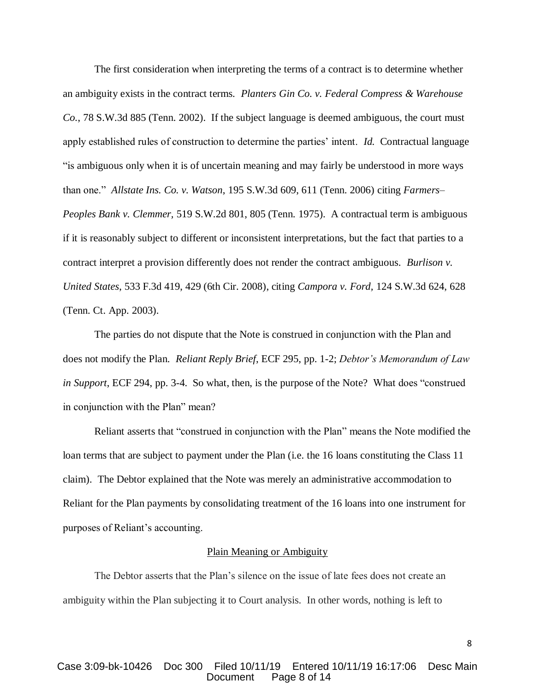The first consideration when interpreting the terms of a contract is to determine whether an ambiguity exists in the contract terms. *Planters Gin Co. v. Federal Compress & Warehouse Co.*, 78 S.W.3d 885 (Tenn. 2002). If the subject language is deemed ambiguous, the court must apply established rules of construction to determine the parties' intent. *Id.* Contractual language "is ambiguous only when it is of uncertain meaning and may fairly be understood in more ways than one." *Allstate Ins. Co. v. Watson*, 195 S.W.3d 609, 611 (Tenn. 2006) citing *Farmers– Peoples Bank v. Clemmer,* 519 S.W.2d 801, 805 (Tenn. 1975). A contractual term is ambiguous if it is reasonably subject to different or inconsistent interpretations, but the fact that parties to a contract interpret a provision differently does not render the contract ambiguous. *Burlison v. United States*, 533 F.3d 419, 429 (6th Cir. 2008), citing *Campora v. Ford,* 124 S.W.3d 624, 628 (Tenn. Ct. App. 2003).

The parties do not dispute that the Note is construed in conjunction with the Plan and does not modify the Plan. *Reliant Reply Brief*, ECF 295, pp. 1-2; *Debtor's Memorandum of Law in Support*, ECF 294, pp. 3-4. So what, then, is the purpose of the Note? What does "construed in conjunction with the Plan" mean?

Reliant asserts that "construed in conjunction with the Plan" means the Note modified the loan terms that are subject to payment under the Plan (i.e. the 16 loans constituting the Class 11 claim). The Debtor explained that the Note was merely an administrative accommodation to Reliant for the Plan payments by consolidating treatment of the 16 loans into one instrument for purposes of Reliant's accounting.

#### Plain Meaning or Ambiguity

The Debtor asserts that the Plan's silence on the issue of late fees does not create an ambiguity within the Plan subjecting it to Court analysis. In other words, nothing is left to

## Case 3:09-bk-10426 Doc 300 Filed 10/11/19 Entered 10/11/19 16:17:06 Desc Main Page 8 of 14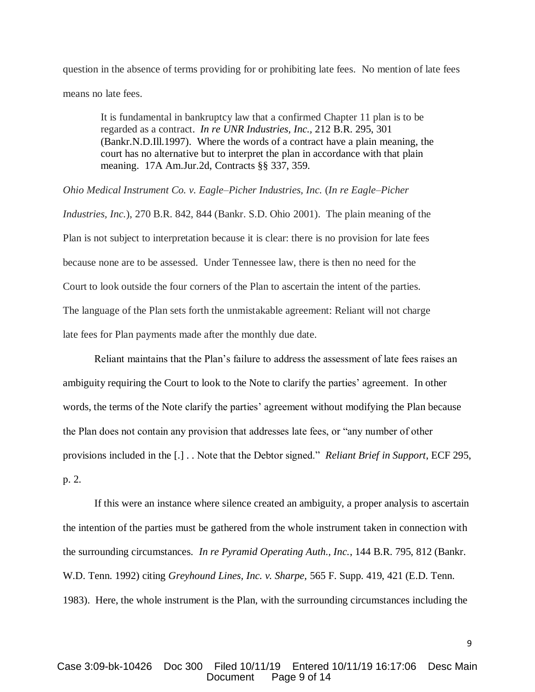question in the absence of terms providing for or prohibiting late fees. No mention of late fees means no late fees.

It is fundamental in bankruptcy law that a confirmed Chapter 11 plan is to be regarded as a contract. *In re UNR Industries, Inc.,* 212 B.R. 295, 301 (Bankr.N.D.Ill.1997). Where the words of a contract have a plain meaning, the court has no alternative but to interpret the plan in accordance with that plain meaning. 17A Am.Jur.2d, Contracts §§ 337, 359.

*Ohio Medical Instrument Co. v. Eagle–Picher Industries, Inc.* (*In re Eagle–Picher* 

*Industries, Inc.*), 270 B.R. 842, 844 (Bankr. S.D. Ohio 2001). The plain meaning of the Plan is not subject to interpretation because it is clear: there is no provision for late fees because none are to be assessed. Under Tennessee law, there is then no need for the Court to look outside the four corners of the Plan to ascertain the intent of the parties. The language of the Plan sets forth the unmistakable agreement: Reliant will not charge late fees for Plan payments made after the monthly due date.

Reliant maintains that the Plan's failure to address the assessment of late fees raises an ambiguity requiring the Court to look to the Note to clarify the parties' agreement. In other words, the terms of the Note clarify the parties' agreement without modifying the Plan because the Plan does not contain any provision that addresses late fees, or "any number of other provisions included in the [.] . . Note that the Debtor signed." *Reliant Brief in Support*, ECF 295, p. 2.

If this were an instance where silence created an ambiguity, a proper analysis to ascertain the intention of the parties must be gathered from the whole instrument taken in connection with the surrounding circumstances. *In re Pyramid Operating Auth., Inc.*, 144 B.R. 795, 812 (Bankr. W.D. Tenn. 1992) citing *Greyhound Lines, Inc. v. Sharpe,* 565 F. Supp. 419, 421 (E.D. Tenn. 1983). Here, the whole instrument is the Plan, with the surrounding circumstances including the

## Case 3:09-bk-10426 Doc 300 Filed 10/11/19 Entered 10/11/19 16:17:06 Desc Main Page 9 of 14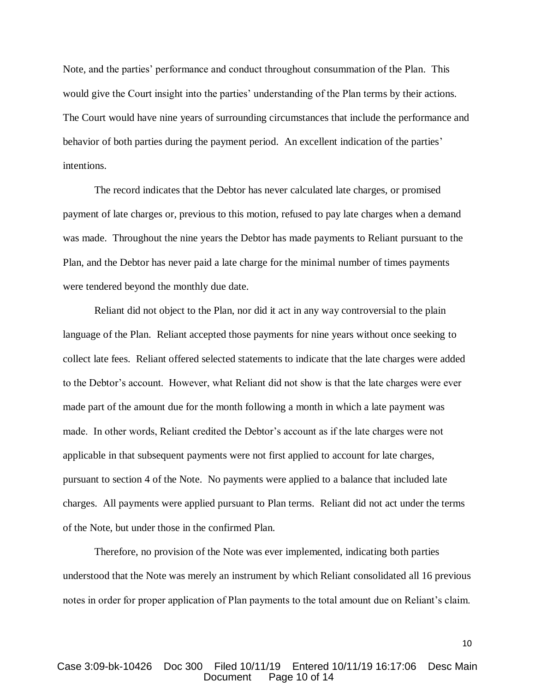Note, and the parties' performance and conduct throughout consummation of the Plan. This would give the Court insight into the parties' understanding of the Plan terms by their actions. The Court would have nine years of surrounding circumstances that include the performance and behavior of both parties during the payment period. An excellent indication of the parties' intentions.

The record indicates that the Debtor has never calculated late charges, or promised payment of late charges or, previous to this motion, refused to pay late charges when a demand was made. Throughout the nine years the Debtor has made payments to Reliant pursuant to the Plan, and the Debtor has never paid a late charge for the minimal number of times payments were tendered beyond the monthly due date.

Reliant did not object to the Plan, nor did it act in any way controversial to the plain language of the Plan. Reliant accepted those payments for nine years without once seeking to collect late fees. Reliant offered selected statements to indicate that the late charges were added to the Debtor's account. However, what Reliant did not show is that the late charges were ever made part of the amount due for the month following a month in which a late payment was made. In other words, Reliant credited the Debtor's account as if the late charges were not applicable in that subsequent payments were not first applied to account for late charges, pursuant to section 4 of the Note. No payments were applied to a balance that included late charges. All payments were applied pursuant to Plan terms. Reliant did not act under the terms of the Note, but under those in the confirmed Plan.

Therefore, no provision of the Note was ever implemented, indicating both parties understood that the Note was merely an instrument by which Reliant consolidated all 16 previous notes in order for proper application of Plan payments to the total amount due on Reliant's claim.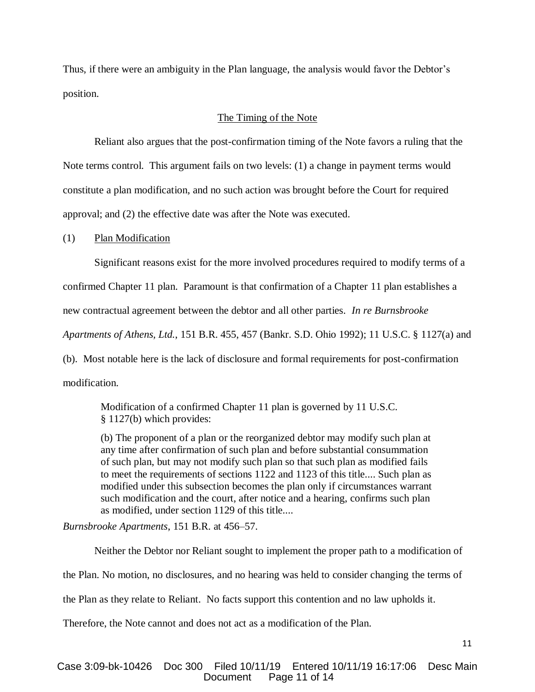Thus, if there were an ambiguity in the Plan language, the analysis would favor the Debtor's position.

### The Timing of the Note

Reliant also argues that the post-confirmation timing of the Note favors a ruling that the Note terms control. This argument fails on two levels: (1) a change in payment terms would constitute a plan modification, and no such action was brought before the Court for required approval; and (2) the effective date was after the Note was executed.

#### (1) Plan Modification

Significant reasons exist for the more involved procedures required to modify terms of a

confirmed Chapter 11 plan. Paramount is that confirmation of a Chapter 11 plan establishes a

new contractual agreement between the debtor and all other parties*. In re Burnsbrooke* 

*Apartments of Athens, Ltd.*, 151 B.R. 455, 457 (Bankr. S.D. Ohio 1992); 11 U.S.C. § 1127(a) and

(b). Most notable here is the lack of disclosure and formal requirements for post-confirmation modification.

Modification of a confirmed Chapter 11 plan is governed by 11 U.S.C. § 1127(b) which provides:

(b) The proponent of a plan or the reorganized debtor may modify such plan at any time after confirmation of such plan and before substantial consummation of such plan, but may not modify such plan so that such plan as modified fails to meet the requirements of sections 1122 and 1123 of this title.... Such plan as modified under this subsection becomes the plan only if circumstances warrant such modification and the court, after notice and a hearing, confirms such plan as modified, under section 1129 of this title....

*Burnsbrooke Apartments*, 151 B.R. at 456–57.

Neither the Debtor nor Reliant sought to implement the proper path to a modification of

the Plan. No motion, no disclosures, and no hearing was held to consider changing the terms of

the Plan as they relate to Reliant. No facts support this contention and no law upholds it.

Therefore, the Note cannot and does not act as a modification of the Plan.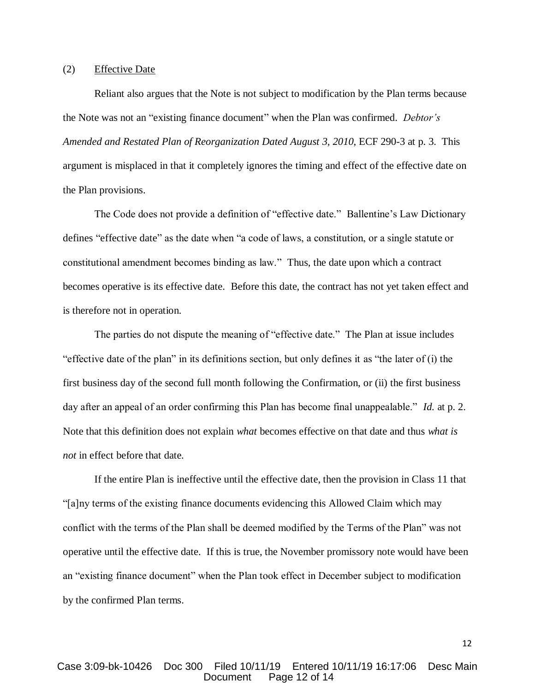### (2) Effective Date

Reliant also argues that the Note is not subject to modification by the Plan terms because the Note was not an "existing finance document" when the Plan was confirmed. *Debtor's Amended and Restated Plan of Reorganization Dated August 3, 2010*, ECF 290-3 at p. 3. This argument is misplaced in that it completely ignores the timing and effect of the effective date on the Plan provisions.

The Code does not provide a definition of "effective date." Ballentine's Law Dictionary defines "effective date" as the date when "a code of laws, a constitution, or a single statute or constitutional amendment becomes binding as law." Thus, the date upon which a contract becomes operative is its effective date. Before this date, the contract has not yet taken effect and is therefore not in operation.

The parties do not dispute the meaning of "effective date." The Plan at issue includes "effective date of the plan" in its definitions section, but only defines it as "the later of (i) the first business day of the second full month following the Confirmation, or (ii) the first business day after an appeal of an order confirming this Plan has become final unappealable." *Id.* at p. 2. Note that this definition does not explain *what* becomes effective on that date and thus *what is not* in effect before that date.

If the entire Plan is ineffective until the effective date, then the provision in Class 11 that "[a]ny terms of the existing finance documents evidencing this Allowed Claim which may conflict with the terms of the Plan shall be deemed modified by the Terms of the Plan" was not operative until the effective date. If this is true, the November promissory note would have been an "existing finance document" when the Plan took effect in December subject to modification by the confirmed Plan terms.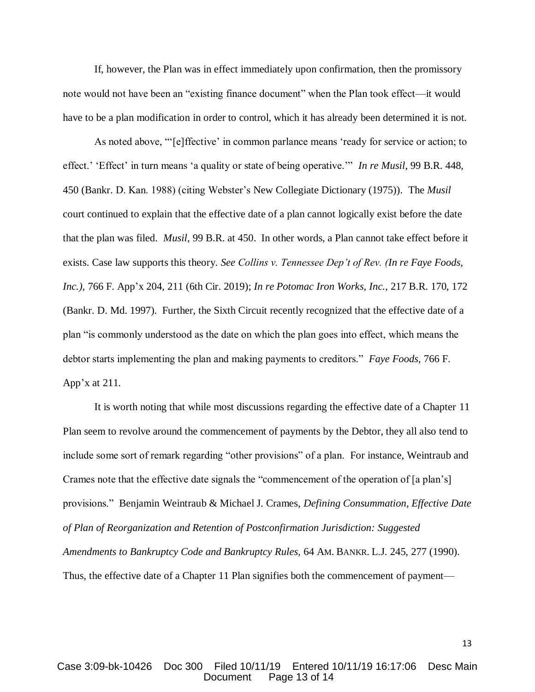If, however, the Plan was in effect immediately upon confirmation, then the promissory note would not have been an "existing finance document" when the Plan took effect—it would have to be a plan modification in order to control, which it has already been determined it is not.

As noted above, "'[e]ffective' in common parlance means 'ready for service or action; to effect.' 'Effect' in turn means 'a quality or state of being operative.'" *In re Musil*, 99 B.R. 448, 450 (Bankr. D. Kan. 1988) (citing Webster's New Collegiate Dictionary (1975)). The *Musil*  court continued to explain that the effective date of a plan cannot logically exist before the date that the plan was filed. *Musil*, 99 B.R. at 450. In other words, a Plan cannot take effect before it exists. Case law supports this theory. *See Collins v. Tennessee Dep't of Rev. (In re Faye Foods, Inc.)*, 766 F. App'x 204, 211 (6th Cir. 2019); *In re Potomac Iron Works, Inc.*, 217 B.R. 170, 172 (Bankr. D. Md. 1997). Further, the Sixth Circuit recently recognized that the effective date of a plan "is commonly understood as the date on which the plan goes into effect, which means the debtor starts implementing the plan and making payments to creditors." *Faye Foods*, 766 F. App'x at 211.

It is worth noting that while most discussions regarding the effective date of a Chapter 11 Plan seem to revolve around the commencement of payments by the Debtor, they all also tend to include some sort of remark regarding "other provisions" of a plan. For instance, Weintraub and Crames note that the effective date signals the "commencement of the operation of [a plan's] provisions." Benjamin Weintraub & Michael J. Crames, *Defining Consummation, Effective Date of Plan of Reorganization and Retention of Postconfirmation Jurisdiction: Suggested Amendments to Bankruptcy Code and Bankruptcy Rules,* 64 AM. BANKR. L.J. 245, 277 (1990). Thus, the effective date of a Chapter 11 Plan signifies both the commencement of payment—